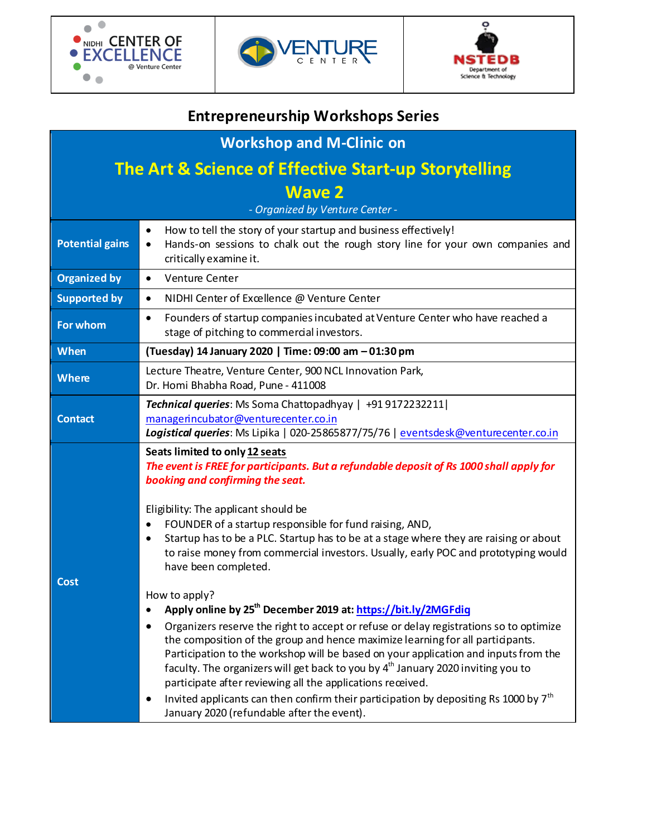





# **Entrepreneurship Workshops Series**

| <b>Workshop and M-Clinic on</b>                                 |                                                                                                                                                                                                                                                                                                                                                                                                                                                                                                                                                                                                                                                                                                                                                                                                                                                                                                                                                                                                                                                                                                                                                             |  |  |  |
|-----------------------------------------------------------------|-------------------------------------------------------------------------------------------------------------------------------------------------------------------------------------------------------------------------------------------------------------------------------------------------------------------------------------------------------------------------------------------------------------------------------------------------------------------------------------------------------------------------------------------------------------------------------------------------------------------------------------------------------------------------------------------------------------------------------------------------------------------------------------------------------------------------------------------------------------------------------------------------------------------------------------------------------------------------------------------------------------------------------------------------------------------------------------------------------------------------------------------------------------|--|--|--|
| <b>The Art &amp; Science of Effective Start-up Storytelling</b> |                                                                                                                                                                                                                                                                                                                                                                                                                                                                                                                                                                                                                                                                                                                                                                                                                                                                                                                                                                                                                                                                                                                                                             |  |  |  |
| <b>Wave 2</b>                                                   |                                                                                                                                                                                                                                                                                                                                                                                                                                                                                                                                                                                                                                                                                                                                                                                                                                                                                                                                                                                                                                                                                                                                                             |  |  |  |
| - Organized by Venture Center -                                 |                                                                                                                                                                                                                                                                                                                                                                                                                                                                                                                                                                                                                                                                                                                                                                                                                                                                                                                                                                                                                                                                                                                                                             |  |  |  |
| <b>Potential gains</b>                                          | How to tell the story of your startup and business effectively!<br>Hands-on sessions to chalk out the rough story line for your own companies and<br>critically examine it.                                                                                                                                                                                                                                                                                                                                                                                                                                                                                                                                                                                                                                                                                                                                                                                                                                                                                                                                                                                 |  |  |  |
| <b>Organized by</b>                                             | Venture Center<br>$\bullet$                                                                                                                                                                                                                                                                                                                                                                                                                                                                                                                                                                                                                                                                                                                                                                                                                                                                                                                                                                                                                                                                                                                                 |  |  |  |
| <b>Supported by</b>                                             | NIDHI Center of Excellence @ Venture Center<br>$\bullet$                                                                                                                                                                                                                                                                                                                                                                                                                                                                                                                                                                                                                                                                                                                                                                                                                                                                                                                                                                                                                                                                                                    |  |  |  |
| For whom                                                        | Founders of startup companies incubated at Venture Center who have reached a<br>٠<br>stage of pitching to commercial investors.                                                                                                                                                                                                                                                                                                                                                                                                                                                                                                                                                                                                                                                                                                                                                                                                                                                                                                                                                                                                                             |  |  |  |
| When                                                            | (Tuesday) 14 January 2020   Time: 09:00 am - 01:30 pm                                                                                                                                                                                                                                                                                                                                                                                                                                                                                                                                                                                                                                                                                                                                                                                                                                                                                                                                                                                                                                                                                                       |  |  |  |
| Where                                                           | Lecture Theatre, Venture Center, 900 NCL Innovation Park,<br>Dr. Homi Bhabha Road, Pune - 411008                                                                                                                                                                                                                                                                                                                                                                                                                                                                                                                                                                                                                                                                                                                                                                                                                                                                                                                                                                                                                                                            |  |  |  |
| <b>Contact</b>                                                  | Technical queries: Ms Soma Chattopadhyay   +91 9172232211  <br>managerincubator@venturecenter.co.in<br>Logistical queries: Ms Lipika   020-25865877/75/76   eventsdesk@venturecenter.co.in                                                                                                                                                                                                                                                                                                                                                                                                                                                                                                                                                                                                                                                                                                                                                                                                                                                                                                                                                                  |  |  |  |
| <b>Cost</b>                                                     | Seats limited to only 12 seats<br>The event is FREE for participants. But a refundable deposit of Rs 1000 shall apply for<br>booking and confirming the seat.<br>Eligibility: The applicant should be<br>FOUNDER of a startup responsible for fund raising, AND,<br>Startup has to be a PLC. Startup has to be at a stage where they are raising or about<br>$\bullet$<br>to raise money from commercial investors. Usually, early POC and prototyping would<br>have been completed.<br>How to apply?<br>Apply online by 25 <sup>th</sup> December 2019 at: https://bit.ly/2MGFdig<br>Organizers reserve the right to accept or refuse or delay registrations so to optimize<br>the composition of the group and hence maximize learning for all participants.<br>Participation to the workshop will be based on your application and inputs from the<br>faculty. The organizers will get back to you by $4th$ January 2020 inviting you to<br>participate after reviewing all the applications received.<br>Invited applicants can then confirm their participation by depositing Rs 1000 by 7 <sup>th</sup><br>January 2020 (refundable after the event). |  |  |  |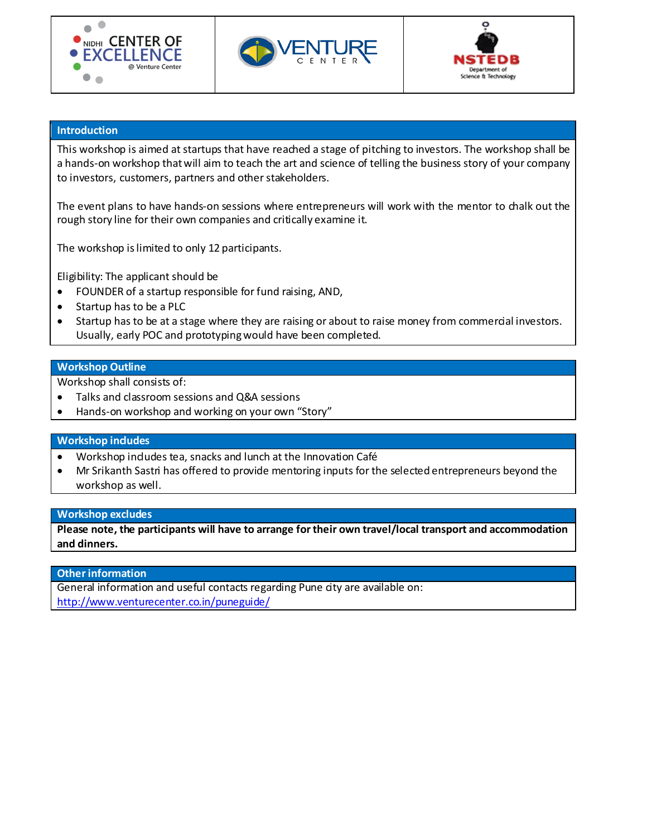





## **Introduction**

This workshop is aimed at startups that have reached a stage of pitching to investors. The workshop shall be a hands-on workshop that will aim to teach the art and science of telling the business story of your company to investors, customers, partners and other stakeholders.

The event plans to have hands-on sessions where entrepreneurs will work with the mentor to chalk out the rough story line for their own companies and critically examine it.

The workshop is limited to only 12 participants.

Eligibility: The applicant should be

- FOUNDER of a startup responsible for fund raising, AND,
- Startup has to be a PLC
- Startup has to be at a stage where they are raising or about to raise money from commercial investors. Usually, early POC and prototyping would have been completed.

## **Workshop Outline**

Workshop shall consists of:

- Talks and classroom sessions and Q&A sessions
- Hands-on workshop and working on your own "Story"

## **Workshop includes**

- Workshop indudes tea, snacks and lunch at the Innovation Café
- Mr Srikanth Sastri has offered to provide mentoring inputs for the selected entrepreneurs beyond the workshop as well.

#### **Workshop excludes**

**Please note, the participants will have to arrange for their own travel/local transport and accommodation and dinners.**

## **Other information**

General information and useful contacts regarding Pune city are available on: <http://www.venturecenter.co.in/puneguide/>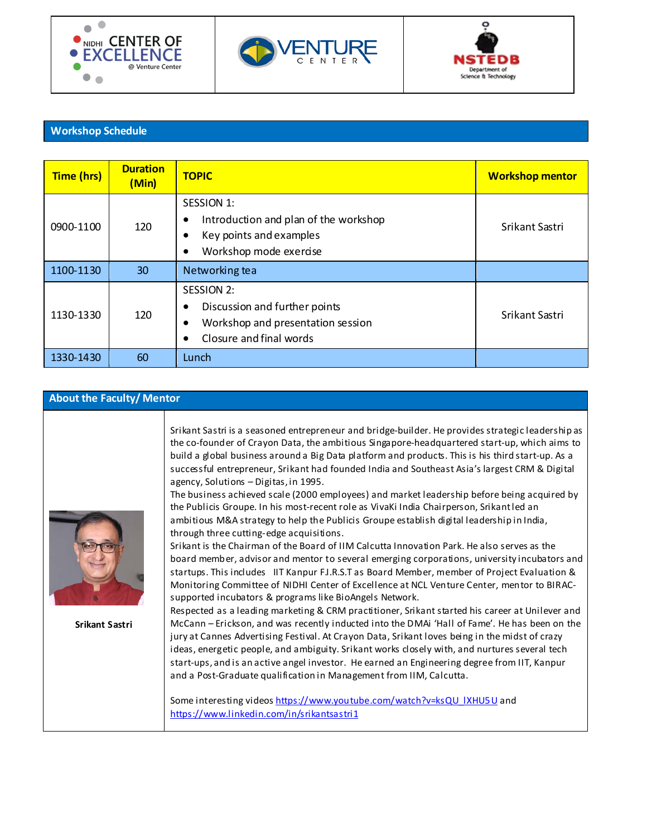





# **Workshop Schedule**

| Time (hrs) | <b>Duration</b><br>(Min) | <b>TOPIC</b>                                                                                                                                      | <b>Workshop mentor</b> |
|------------|--------------------------|---------------------------------------------------------------------------------------------------------------------------------------------------|------------------------|
| 0900-1100  | 120                      | SESSION 1:<br>Introduction and plan of the workshop<br>$\bullet$<br>Key points and examples<br>$\bullet$<br>Workshop mode exercise<br>٠           | Srikant Sastri         |
| 1100-1130  | 30                       | Networking tea                                                                                                                                    |                        |
| 1130-1330  | 120                      | <b>SESSION 2:</b><br>Discussion and further points<br>$\bullet$<br>Workshop and presentation session<br>$\bullet$<br>Closure and final words<br>٠ | Srikant Sastri         |
| 1330-1430  | 60                       | Lunch                                                                                                                                             |                        |

# **About the Faculty/ Mentor**

| Srikant Sastri | Srikant Sastri is a seasoned entrepreneur and bridge-builder. He provides strategic leadership as<br>the co-founder of Crayon Data, the ambitious Singapore-headquartered start-up, which aims to<br>build a global business around a Big Data platform and products. This is his third start-up. As a<br>successful entrepreneur, Srikant had founded India and Southeast Asia's largest CRM & Digital<br>agency, Solutions - Digitas, in 1995.<br>The business achieved scale (2000 employees) and market leadership before being acquired by<br>the Publicis Groupe. In his most-recent role as VivaKi India Chairperson, Srikant led an<br>ambitious M&A strategy to help the Publicis Groupe establish digital leadership in India,<br>through three cutting-edge acquisitions.<br>Srikant is the Chairman of the Board of IIM Calcutta Innovation Park. He also serves as the<br>board member, advisor and mentor to several emerging corporations, university incubators and<br>startups. This includes IIT Kanpur F.I.R.S.T as Board Member, member of Project Evaluation &<br>Monitoring Committee of NIDHI Center of Excellence at NCL Venture Center, mentor to BIRAC-<br>supported incubators & programs like BioAngels Network.<br>Respected as a leading marketing & CRM practitioner, Srikant started his career at Unilever and<br>McCann - Erickson, and was recently inducted into the DMAi 'Hall of Fame'. He has been on the<br>jury at Cannes Advertising Festival. At Crayon Data, Srikant loves being in the midst of crazy<br>ideas, energetic people, and ambiguity. Srikant works closely with, and nurtures several tech<br>start-ups, and is an active angel investor. He earned an Engineering degree from IIT, Kanpur<br>and a Post-Graduate qualification in Management from IIM, Calcutta.<br>Some interesting videos https://www.youtube.com/watch?v=ksQU IXHU5U and |
|----------------|-------------------------------------------------------------------------------------------------------------------------------------------------------------------------------------------------------------------------------------------------------------------------------------------------------------------------------------------------------------------------------------------------------------------------------------------------------------------------------------------------------------------------------------------------------------------------------------------------------------------------------------------------------------------------------------------------------------------------------------------------------------------------------------------------------------------------------------------------------------------------------------------------------------------------------------------------------------------------------------------------------------------------------------------------------------------------------------------------------------------------------------------------------------------------------------------------------------------------------------------------------------------------------------------------------------------------------------------------------------------------------------------------------------------------------------------------------------------------------------------------------------------------------------------------------------------------------------------------------------------------------------------------------------------------------------------------------------------------------------------------------------------------------------------------------------------------------------------------------------------------------------------------------|
|                | https://www.linkedin.com/in/srikantsastri1                                                                                                                                                                                                                                                                                                                                                                                                                                                                                                                                                                                                                                                                                                                                                                                                                                                                                                                                                                                                                                                                                                                                                                                                                                                                                                                                                                                                                                                                                                                                                                                                                                                                                                                                                                                                                                                            |